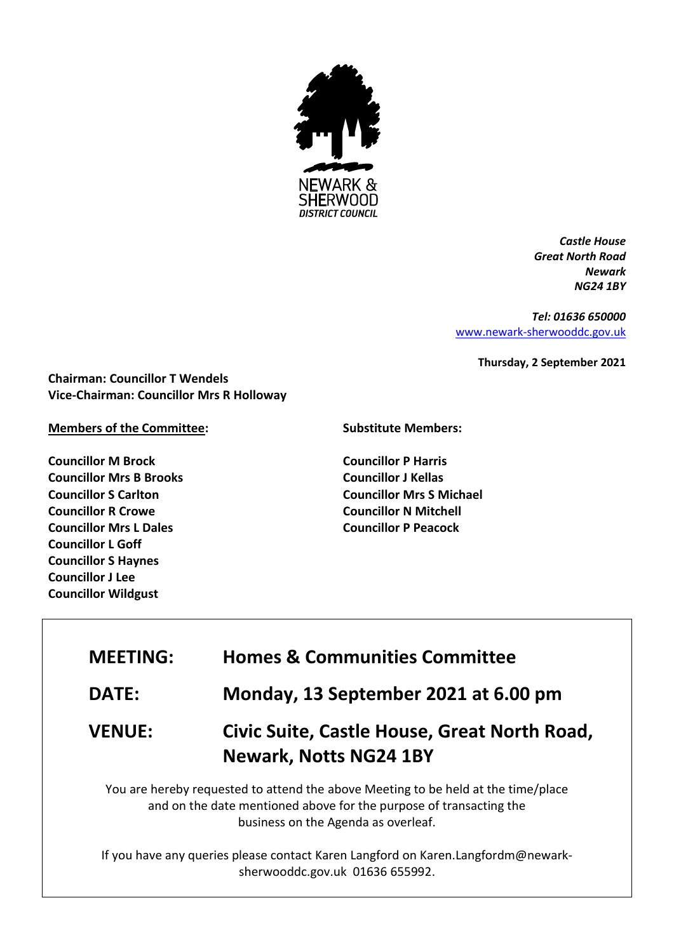

*Castle House Great North Road Newark NG24 1BY*

*Tel: 01636 650000* [www.newark-sherwooddc.gov.uk](http://www.newark-sherwooddc.gov.uk/)

**Thursday, 2 September 2021**

**Chairman: Councillor T Wendels Vice-Chairman: Councillor Mrs R Holloway**

## **Members of the Committee:**

**Councillor M Brock Councillor Mrs B Brooks Councillor S Carlton Councillor R Crowe Councillor Mrs L Dales Councillor L Goff Councillor S Haynes Councillor J Lee Councillor Wildgust**

## **Substitute Members:**

**Councillor P Harris Councillor J Kellas Councillor Mrs S Michael Councillor N Mitchell Councillor P Peacock**

| <b>Homes &amp; Communities Committee</b><br><b>MEETING:</b> |  |
|-------------------------------------------------------------|--|
|-------------------------------------------------------------|--|

**DATE: Monday, 13 September 2021 at 6.00 pm**

**VENUE: Civic Suite, Castle House, Great North Road, Newark, Notts NG24 1BY**

You are hereby requested to attend the above Meeting to be held at the time/place and on the date mentioned above for the purpose of transacting the business on the Agenda as overleaf.

If you have any queries please contact Karen Langford on Karen.Langfordm@newarksherwooddc.gov.uk 01636 655992.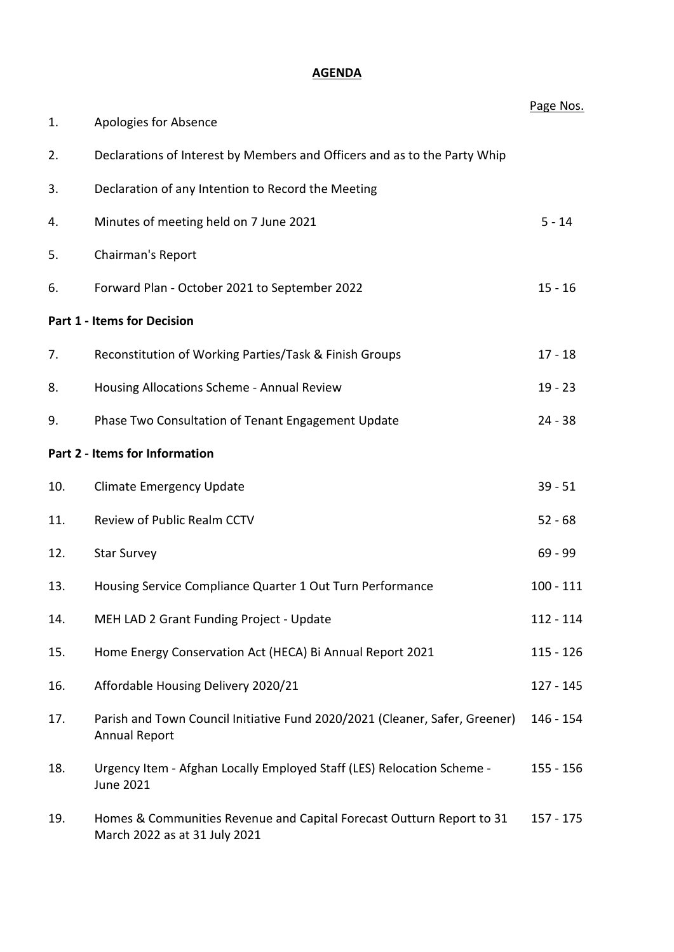# **AGENDA**

|     |                                                                                                        | Page Nos.   |
|-----|--------------------------------------------------------------------------------------------------------|-------------|
| 1.  | Apologies for Absence                                                                                  |             |
| 2.  | Declarations of Interest by Members and Officers and as to the Party Whip                              |             |
| 3.  | Declaration of any Intention to Record the Meeting                                                     |             |
| 4.  | Minutes of meeting held on 7 June 2021                                                                 | $5 - 14$    |
| 5.  | Chairman's Report                                                                                      |             |
| 6.  | Forward Plan - October 2021 to September 2022                                                          | $15 - 16$   |
|     | <b>Part 1 - Items for Decision</b>                                                                     |             |
| 7.  | Reconstitution of Working Parties/Task & Finish Groups                                                 | $17 - 18$   |
| 8.  | Housing Allocations Scheme - Annual Review                                                             | $19 - 23$   |
| 9.  | Phase Two Consultation of Tenant Engagement Update                                                     | $24 - 38$   |
|     | Part 2 - Items for Information                                                                         |             |
| 10. | <b>Climate Emergency Update</b>                                                                        | $39 - 51$   |
| 11. | Review of Public Realm CCTV                                                                            | $52 - 68$   |
| 12. | <b>Star Survey</b>                                                                                     | $69 - 99$   |
| 13. | Housing Service Compliance Quarter 1 Out Turn Performance                                              | $100 - 111$ |
| 14. | MEH LAD 2 Grant Funding Project - Update                                                               | $112 - 114$ |
| 15. | Home Energy Conservation Act (HECA) Bi Annual Report 2021                                              | $115 - 126$ |
| 16. | Affordable Housing Delivery 2020/21                                                                    | $127 - 145$ |
| 17. | Parish and Town Council Initiative Fund 2020/2021 (Cleaner, Safer, Greener)<br><b>Annual Report</b>    | 146 - 154   |
| 18. | Urgency Item - Afghan Locally Employed Staff (LES) Relocation Scheme -<br><b>June 2021</b>             | $155 - 156$ |
| 19. | Homes & Communities Revenue and Capital Forecast Outturn Report to 31<br>March 2022 as at 31 July 2021 | 157 - 175   |